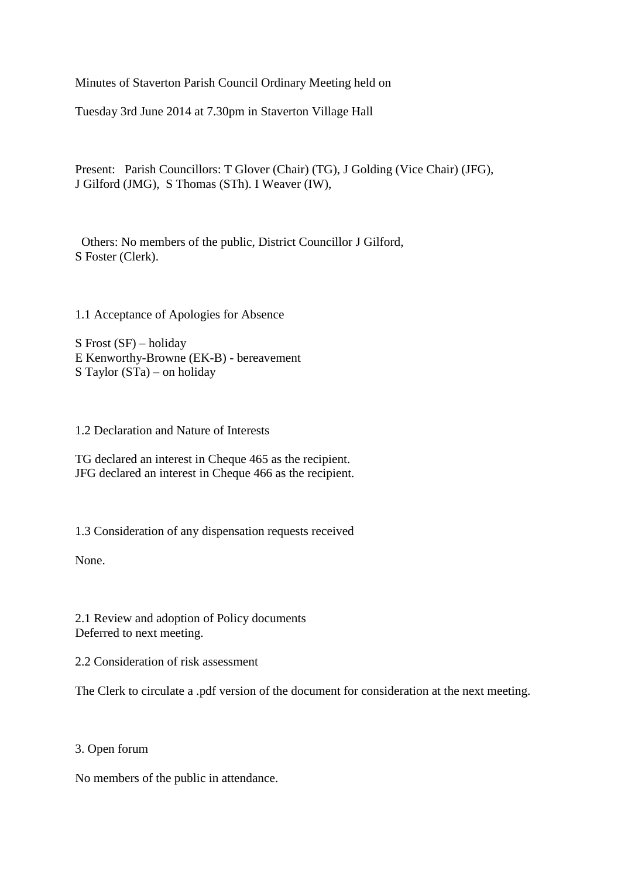Minutes of Staverton Parish Council Ordinary Meeting held on

Tuesday 3rd June 2014 at 7.30pm in Staverton Village Hall

Present: Parish Councillors: T Glover (Chair) (TG), J Golding (Vice Chair) (JFG), J Gilford (JMG), S Thomas (STh). I Weaver (IW),

 Others: No members of the public, District Councillor J Gilford, S Foster (Clerk).

1.1 Acceptance of Apologies for Absence

S Frost (SF) – holiday E Kenworthy-Browne (EK-B) - bereavement S Taylor (STa) – on holiday

1.2 Declaration and Nature of Interests

TG declared an interest in Cheque 465 as the recipient. JFG declared an interest in Cheque 466 as the recipient.

1.3 Consideration of any dispensation requests received

None.

2.1 Review and adoption of Policy documents Deferred to next meeting.

2.2 Consideration of risk assessment

The Clerk to circulate a .pdf version of the document for consideration at the next meeting.

### 3. Open forum

No members of the public in attendance.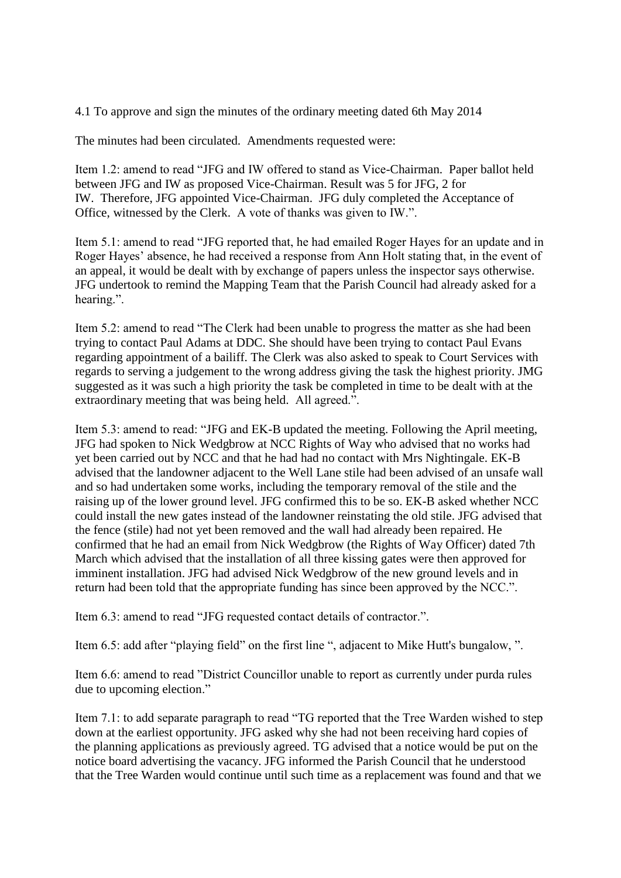4.1 To approve and sign the minutes of the ordinary meeting dated 6th May 2014

The minutes had been circulated. Amendments requested were:

Item 1.2: amend to read "JFG and IW offered to stand as Vice-Chairman. Paper ballot held between JFG and IW as proposed Vice-Chairman. Result was 5 for JFG, 2 for IW. Therefore, JFG appointed Vice-Chairman. JFG duly completed the Acceptance of Office, witnessed by the Clerk. A vote of thanks was given to IW.".

Item 5.1: amend to read "JFG reported that, he had emailed Roger Hayes for an update and in Roger Hayes' absence, he had received a response from Ann Holt stating that, in the event of an appeal, it would be dealt with by exchange of papers unless the inspector says otherwise. JFG undertook to remind the Mapping Team that the Parish Council had already asked for a hearing.".

Item 5.2: amend to read "The Clerk had been unable to progress the matter as she had been trying to contact Paul Adams at DDC. She should have been trying to contact Paul Evans regarding appointment of a bailiff. The Clerk was also asked to speak to Court Services with regards to serving a judgement to the wrong address giving the task the highest priority. JMG suggested as it was such a high priority the task be completed in time to be dealt with at the extraordinary meeting that was being held. All agreed.".

Item 5.3: amend to read: "JFG and EK-B updated the meeting. Following the April meeting, JFG had spoken to Nick Wedgbrow at NCC Rights of Way who advised that no works had yet been carried out by NCC and that he had had no contact with Mrs Nightingale. EK-B advised that the landowner adjacent to the Well Lane stile had been advised of an unsafe wall and so had undertaken some works, including the temporary removal of the stile and the raising up of the lower ground level. JFG confirmed this to be so. EK-B asked whether NCC could install the new gates instead of the landowner reinstating the old stile. JFG advised that the fence (stile) had not yet been removed and the wall had already been repaired. He confirmed that he had an email from Nick Wedgbrow (the Rights of Way Officer) dated 7th March which advised that the installation of all three kissing gates were then approved for imminent installation. JFG had advised Nick Wedgbrow of the new ground levels and in return had been told that the appropriate funding has since been approved by the NCC.".

Item 6.3: amend to read "JFG requested contact details of contractor.".

Item 6.5: add after "playing field" on the first line ", adjacent to Mike Hutt's bungalow, ".

Item 6.6: amend to read "District Councillor unable to report as currently under purda rules due to upcoming election."

Item 7.1: to add separate paragraph to read "TG reported that the Tree Warden wished to step down at the earliest opportunity. JFG asked why she had not been receiving hard copies of the planning applications as previously agreed. TG advised that a notice would be put on the notice board advertising the vacancy. JFG informed the Parish Council that he understood that the Tree Warden would continue until such time as a replacement was found and that we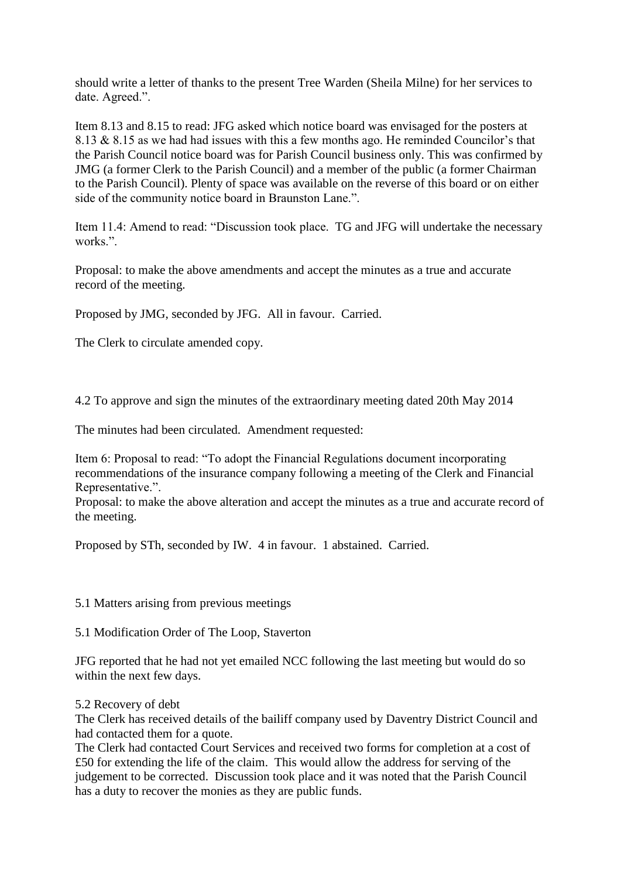should write a letter of thanks to the present Tree Warden (Sheila Milne) for her services to date. Agreed.".

Item 8.13 and 8.15 to read: JFG asked which notice board was envisaged for the posters at 8.13 & 8.15 as we had had issues with this a few months ago. He reminded Councilor's that the Parish Council notice board was for Parish Council business only. This was confirmed by JMG (a former Clerk to the Parish Council) and a member of the public (a former Chairman to the Parish Council). Plenty of space was available on the reverse of this board or on either side of the community notice board in Braunston Lane.".

Item 11.4: Amend to read: "Discussion took place. TG and JFG will undertake the necessary works.".

Proposal: to make the above amendments and accept the minutes as a true and accurate record of the meeting.

Proposed by JMG, seconded by JFG. All in favour. Carried.

The Clerk to circulate amended copy.

4.2 To approve and sign the minutes of the extraordinary meeting dated 20th May 2014

The minutes had been circulated. Amendment requested:

Item 6: Proposal to read: "To adopt the Financial Regulations document incorporating recommendations of the insurance company following a meeting of the Clerk and Financial Representative.".

Proposal: to make the above alteration and accept the minutes as a true and accurate record of the meeting.

Proposed by STh, seconded by IW. 4 in favour. 1 abstained. Carried.

5.1 Matters arising from previous meetings

5.1 Modification Order of The Loop, Staverton

JFG reported that he had not yet emailed NCC following the last meeting but would do so within the next few days.

#### 5.2 Recovery of debt

The Clerk has received details of the bailiff company used by Daventry District Council and had contacted them for a quote.

The Clerk had contacted Court Services and received two forms for completion at a cost of £50 for extending the life of the claim. This would allow the address for serving of the judgement to be corrected. Discussion took place and it was noted that the Parish Council has a duty to recover the monies as they are public funds.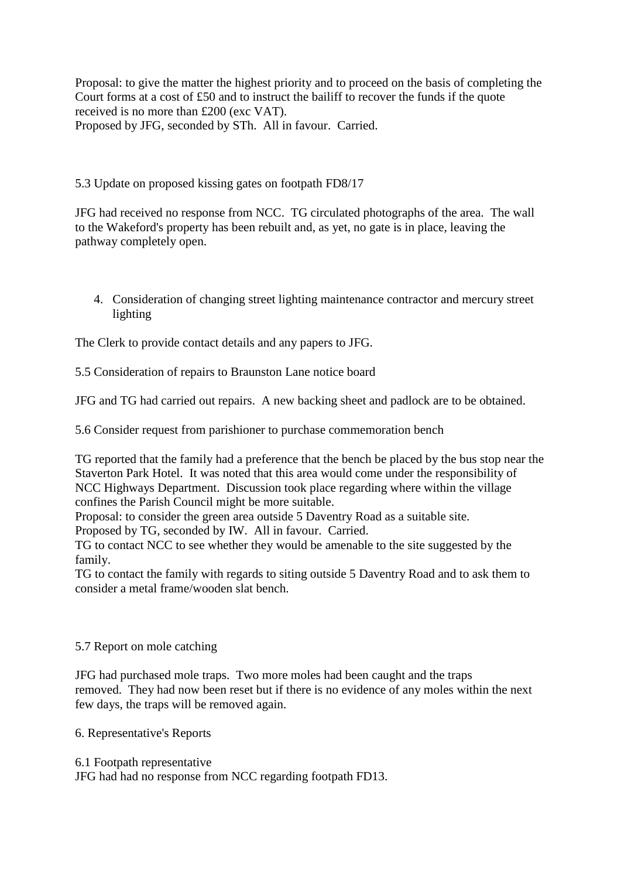Proposal: to give the matter the highest priority and to proceed on the basis of completing the Court forms at a cost of £50 and to instruct the bailiff to recover the funds if the quote received is no more than £200 (exc VAT). Proposed by JFG, seconded by STh. All in favour. Carried.

5.3 Update on proposed kissing gates on footpath FD8/17

JFG had received no response from NCC. TG circulated photographs of the area. The wall to the Wakeford's property has been rebuilt and, as yet, no gate is in place, leaving the pathway completely open.

4. Consideration of changing street lighting maintenance contractor and mercury street lighting

The Clerk to provide contact details and any papers to JFG.

5.5 Consideration of repairs to Braunston Lane notice board

JFG and TG had carried out repairs. A new backing sheet and padlock are to be obtained.

5.6 Consider request from parishioner to purchase commemoration bench

TG reported that the family had a preference that the bench be placed by the bus stop near the Staverton Park Hotel. It was noted that this area would come under the responsibility of NCC Highways Department. Discussion took place regarding where within the village confines the Parish Council might be more suitable.

Proposal: to consider the green area outside 5 Daventry Road as a suitable site.

Proposed by TG, seconded by IW. All in favour. Carried.

TG to contact NCC to see whether they would be amenable to the site suggested by the family.

TG to contact the family with regards to siting outside 5 Daventry Road and to ask them to consider a metal frame/wooden slat bench.

### 5.7 Report on mole catching

JFG had purchased mole traps. Two more moles had been caught and the traps removed. They had now been reset but if there is no evidence of any moles within the next few days, the traps will be removed again.

6. Representative's Reports

6.1 Footpath representative

JFG had had no response from NCC regarding footpath FD13.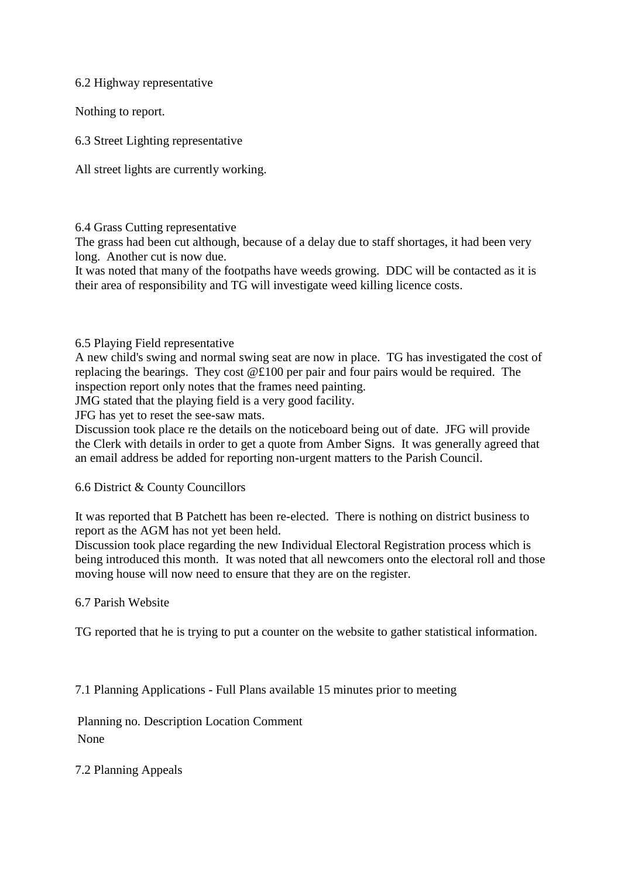## 6.2 Highway representative

Nothing to report.

6.3 Street Lighting representative

All street lights are currently working.

### 6.4 Grass Cutting representative

The grass had been cut although, because of a delay due to staff shortages, it had been very long. Another cut is now due.

It was noted that many of the footpaths have weeds growing. DDC will be contacted as it is their area of responsibility and TG will investigate weed killing licence costs.

### 6.5 Playing Field representative

A new child's swing and normal swing seat are now in place. TG has investigated the cost of replacing the bearings. They cost @£100 per pair and four pairs would be required. The inspection report only notes that the frames need painting.

JMG stated that the playing field is a very good facility.

JFG has yet to reset the see-saw mats.

Discussion took place re the details on the noticeboard being out of date. JFG will provide the Clerk with details in order to get a quote from Amber Signs. It was generally agreed that an email address be added for reporting non-urgent matters to the Parish Council.

### 6.6 District & County Councillors

It was reported that B Patchett has been re-elected. There is nothing on district business to report as the AGM has not yet been held.

Discussion took place regarding the new Individual Electoral Registration process which is being introduced this month. It was noted that all newcomers onto the electoral roll and those moving house will now need to ensure that they are on the register.

### 6.7 Parish Website

TG reported that he is trying to put a counter on the website to gather statistical information.

7.1 Planning Applications - Full Plans available 15 minutes prior to meeting

Planning no. Description Location Comment None

7.2 Planning Appeals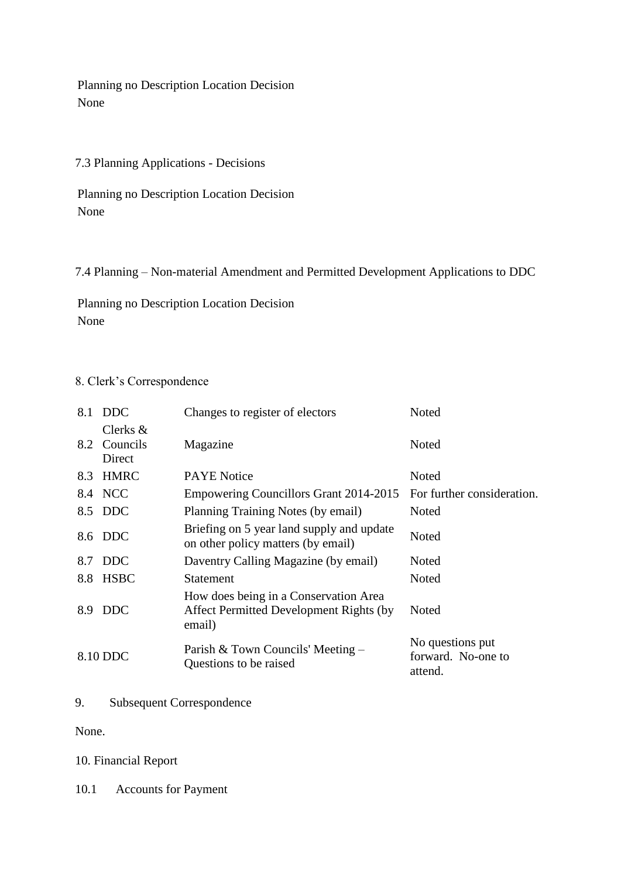Planning no Description Location Decision None

## 7.3 Planning Applications - Decisions

Planning no Description Location Decision None

7.4 Planning – Non-material Amendment and Permitted Development Applications to DDC

Planning no Description Location Decision None

## 8. Clerk's Correspondence

| 8.1 | <b>DDC</b>                        | Changes to register of electors                                                             | Noted                                             |
|-----|-----------------------------------|---------------------------------------------------------------------------------------------|---------------------------------------------------|
| 8.2 | Clerks $\&$<br>Councils<br>Direct | Magazine                                                                                    | Noted                                             |
| 8.3 | <b>HMRC</b>                       | <b>PAYE</b> Notice                                                                          | Noted                                             |
|     | 8.4 NCC                           | Empowering Councillors Grant 2014-2015                                                      | For further consideration.                        |
|     | 8.5 DDC                           | Planning Training Notes (by email)                                                          | Noted                                             |
|     | 8.6 DDC                           | Briefing on 5 year land supply and update<br>on other policy matters (by email)             | Noted                                             |
| 8.7 | <b>DDC</b>                        | Daventry Calling Magazine (by email)                                                        | Noted                                             |
| 8.8 | <b>HSBC</b>                       | <b>Statement</b>                                                                            | Noted                                             |
| 8.9 | <b>DDC</b>                        | How does being in a Conservation Area<br>Affect Permitted Development Rights (by)<br>email) | Noted                                             |
|     | 8.10 DDC                          | Parish & Town Councils' Meeting -<br>Questions to be raised                                 | No questions put<br>forward. No-one to<br>attend. |

9. Subsequent Correspondence

None.

# 10. Financial Report

10.1 Accounts for Payment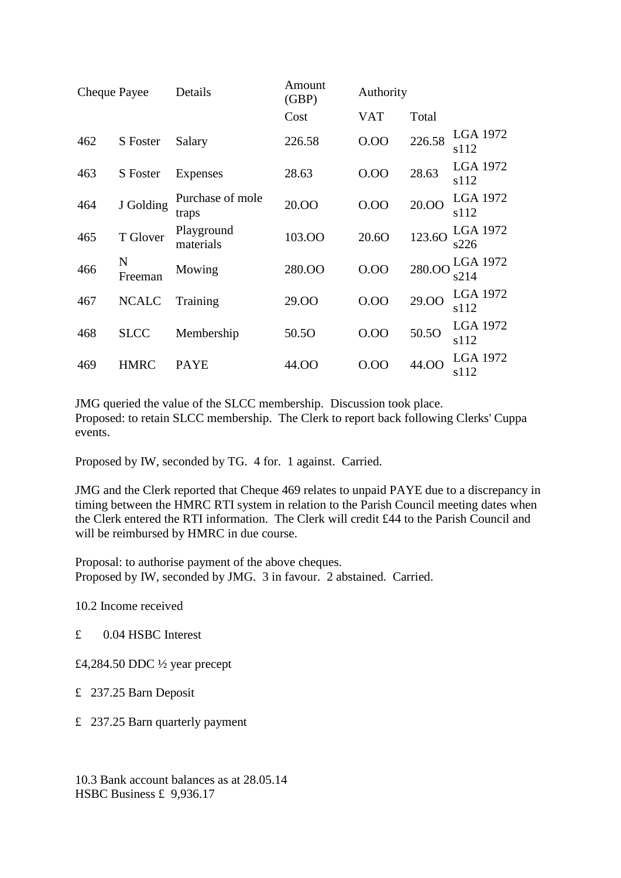| Cheque Payee |              | Details                   | Amount<br>(GBP) | Authority  |        |                         |
|--------------|--------------|---------------------------|-----------------|------------|--------|-------------------------|
|              |              |                           | Cost            | <b>VAT</b> | Total  |                         |
| 462          | S Foster     | Salary                    | 226.58          | 0.00       | 226.58 | LGA 1972<br>s112        |
| 463          | S Foster     | Expenses                  | 28.63           | 0.00       | 28.63  | <b>LGA 1972</b><br>s112 |
| 464          | J Golding    | Purchase of mole<br>traps | 20.00           | 0.00       | 20.00  | LGA 1972<br>s112        |
| 465          | T Glover     | Playground<br>materials   | 103.00          | 20.60      | 123.60 | LGA 1972<br>s226        |
| 466          | N<br>Freeman | Mowing                    | 280.OO          | 0.00       | 280.00 | LGA 1972<br>s214        |
| 467          | <b>NCALC</b> | Training                  | 29.00           | 0.00       | 29.00  | LGA 1972<br>s112        |
| 468          | <b>SLCC</b>  | Membership                | 50.5O           | 0.00       | 50.50  | <b>LGA 1972</b><br>s112 |
| 469          | <b>HMRC</b>  | <b>PAYE</b>               | 44.OO           | 0.00       | 44.OO  | LGA 1972<br>s112        |

JMG queried the value of the SLCC membership. Discussion took place. Proposed: to retain SLCC membership. The Clerk to report back following Clerks' Cuppa events.

Proposed by IW, seconded by TG. 4 for. 1 against. Carried.

JMG and the Clerk reported that Cheque 469 relates to unpaid PAYE due to a discrepancy in timing between the HMRC RTI system in relation to the Parish Council meeting dates when the Clerk entered the RTI information. The Clerk will credit £44 to the Parish Council and will be reimbursed by HMRC in due course.

Proposal: to authorise payment of the above cheques. Proposed by IW, seconded by JMG. 3 in favour. 2 abstained. Carried.

10.2 Income received

- £ 0.04 HSBC Interest
- £4,284.50 DDC ½ year precept
- £ 237.25 Barn Deposit
- £ 237.25 Barn quarterly payment

10.3 Bank account balances as at 28.05.14 HSBC Business £ 9,936.17